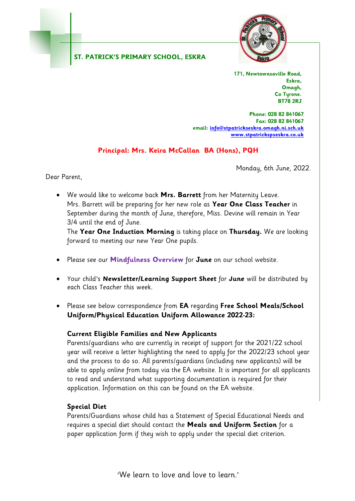#### **ST. PATRICK'S PRIMARY SCHOOL, ESKRA**



**171, Newtownsaville Road, Eskra, Omagh, Co Tyrone. BT78 2RJ**

**Phone: 028 82 841067 Fax: 028 82 841067 email[: info@stpatrickseskra.omagh.ni.sch.uk](mailto:info@stpatrickseskra.omagh.ni.sch.uk) [www.stpatrickspseskra.co.uk](http://www.stpatrickspseskra.co.uk/)**

## **Principal: Mrs. Keira McCallan BA (Hons), PQH**

Monday, 6th June, 2022.

Dear Parent,

 We would like to welcome back **Mrs. Barrett** from her Maternity Leave. Mrs. Barrett will be preparing for her new role as **Year One Class Teacher** in September during the month of June, therefore, Miss. Devine will remain in Year 3/4 until the end of June.

The **Year One Induction Morning** is taking place on **Thursday.** We are looking forward to meeting our new Year One pupils.

- Please see our **Mindfulness Overview** for **June** on our school website.
- Your child's **Newsletter/Learning Support Sheet** for **June** will be distributed by each Class Teacher this week.
- Please see below correspondence from **EA** regarding **Free School Meals/School Uniform/Physical Education Uniform Allowance 2022-23:**

#### **Current Eligible Families and New Applicants**

Parents/guardians who are currently in receipt of support for the 2021/22 school year will receive a letter highlighting the need to apply for the 2022/23 school year and the process to do so. All parents/guardians (including new applicants) will be able to apply online from today via the EA website. It is important for all applicants to read and understand what supporting documentation is required for their application. Information on this can be found on the EA website.

#### **Special Diet**

Parents/Guardians whose child has a Statement of Special Educational Needs and requires a special diet should contact the **Meals and Uniform Section** for a paper application form if they wish to apply under the special diet criterion.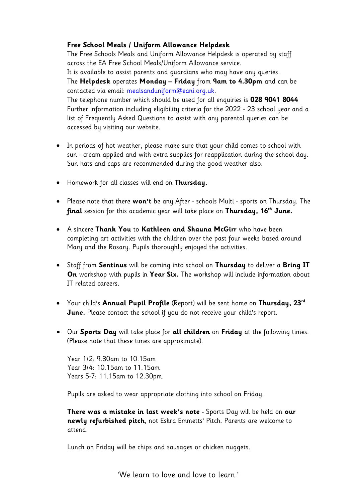#### **Free School Meals / Uniform Allowance Helpdesk**

The Free Schools Meals and Uniform Allowance Helpdesk is operated by staff across the EA Free School Meals/Uniform Allowance service. It is available to assist parents and guardians who may have any queries. The **Helpdesk** operates **Monday – Friday** from **9am to 4.30pm** and can be contacted via email: [mealsanduniform@eani.org.uk.](mailto:mealsanduniform@eani.org.uk) The telephone number which should be used for all enquiries is **028 9041 8044** Further information including eligibility criteria for the 2022 - 23 school year and a list of Frequently Asked Questions to assist with any parental queries can be accessed by visiting our website.

- In periods of hot weather, please make sure that your child comes to school with sun - cream applied and with extra supplies for reapplication during the school day. Sun hats and caps are recommended during the good weather also.
- Homework for all classes will end on **Thursday.**
- Please note that there **won't** be any After schools Multi sports on Thursday. The **final** session for this academic year will take place on **Thursday, 16th June.**
- A sincere **Thank You** to **Kathleen and Shauna McGirr** who have been completing art activities with the children over the past four weeks based around Mary and the Rosary. Pupils thoroughly enjoyed the activities.
- Staff from **Sentinus** will be coming into school on **Thursday** to deliver a **Bring IT On** workshop with pupils in **Year Six.** The workshop will include information about IT related careers.
- Your child's **Annual Pupil Profile** (Report) will be sent home on **Thursday, 23rd June.** Please contact the school if you do not receive your child's report.
- Our **Sports Day** will take place for **all children** on **Friday** at the following times. (Please note that these times are approximate).

Year 1/2: 9.30am to 10.15am Year 3/4: 10.15am to 11.15am Years 5-7: 11.15am to 12.30pm.

Pupils are asked to wear appropriate clothing into school on Friday.

**There was a mistake in last week's note -** Sports Day will be held on **our newly refurbished pitch**, not Eskra Emmetts' Pitch. Parents are welcome to attend.

Lunch on Friday will be chips and sausages or chicken nuggets.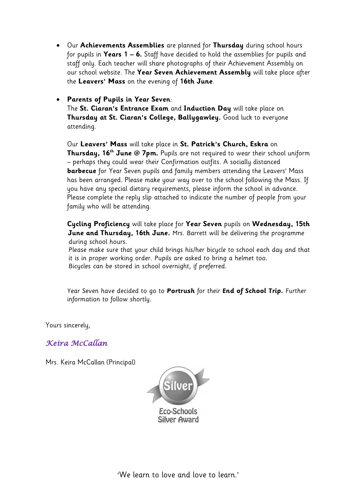Our **Achievements Assemblies** are planned for **Thursday** during school hours for pupils in **Years 1 – 6.** Staff have decided to hold the assemblies for pupils and staff only. Each teacher will share photographs of their Achievement Assembly on our school website. The **Year Seven Achievement Assembly** will take place after the **Leavers' Mass** on the evening of **16th June**.

### **Parents of Pupils in Year Seven**:

The **St. Ciaran's Entrance Exam** and **Induction Day** will take place on **Thursday at St. Ciaran's College, Ballygawley.** Good luck to everyone attending.

Our **Leavers' Mass** will take place in **St. Patrick's Church, Eskra** on **Thursday, 16 th June @ 7pm.** Pupils are not required to wear their school uniform – perhaps they could wear their Confirmation outfits. A socially distanced **barbecue** for Year Seven pupils and family members attending the Leavers' Mass has been arranged. Please make your way over to the school following the Mass. If you have any special dietary requirements, please inform the school in advance. Please complete the reply slip attached to indicate the number of people from your family who will be attending.

**Cycling Proficiency** will take place for **Year Seven** pupils on **Wednesday, 15th June and Thursday, 16th June.** Mrs. Barrett will be delivering the programme during school hours.

 Please make sure that your child brings his/her bicycle to school each day and that it is in proper working order. Pupils are asked to bring a helmet too. Bicycles can be stored in school overnight, if preferred.

Year Seven have decided to go to **Portrush** for their **End of School Trip.** Further information to follow shortly.

Yours sincerely,

*Keira McCallan* 

Mrs. Keira McCallan (Principal)